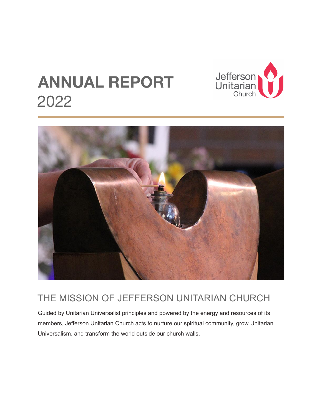



### THE MISSION OF JEFFERSON UNITARIAN CHURCH

Guided by Unitarian Universalist principles and powered by the energy and resources of its members, Jefferson Unitarian Church acts to nurture our spiritual community, grow Unitarian Universalism, and transform the world outside our church walls.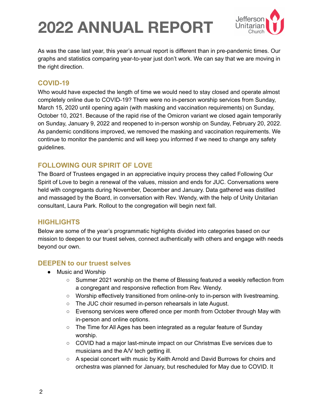

As was the case last year, this year's annual report is different than in pre-pandemic times. Our graphs and statistics comparing year-to-year just don't work. We can say that we are moving in the right direction.

#### **COVID-19**

Who would have expected the length of time we would need to stay closed and operate almost completely online due to COVID-19? There were no in-person worship services from Sunday, March 15, 2020 until opening again (with masking and vaccination requirements) on Sunday, October 10, 2021. Because of the rapid rise of the Omicron variant we closed again temporarily on Sunday, January 9, 2022 and reopened to in-person worship on Sunday, February 20, 2022. As pandemic conditions improved, we removed the masking and vaccination requirements. We continue to monitor the pandemic and will keep you informed if we need to change any safety guidelines.

#### **FOLLOWING OUR SPIRIT OF LOVE**

The Board of Trustees engaged in an appreciative inquiry process they called Following Our Spirit of Love to begin a renewal of the values, mission and ends for JUC. Conversations were held with congregants during November, December and January. Data gathered was distilled and massaged by the Board, in conversation with Rev. Wendy, with the help of Unity Unitarian consultant, Laura Park. Rollout to the congregation will begin next fall.

#### **HIGHLIGHTS**

Below are some of the year's programmatic highlights divided into categories based on our mission to deepen to our truest selves, connect authentically with others and engage with needs beyond our own.

#### **DEEPEN to our truest selves**

- Music and Worship
	- Summer 2021 worship on the theme of Blessing featured a weekly reflection from a congregant and responsive reflection from Rev. Wendy.
	- Worship effectively transitioned from online-only to in-person with livestreaming.
	- The JUC choir resumed in-person rehearsals in late August.
	- Evensong services were offered once per month from October through May with in-person and online options.
	- The Time for All Ages has been integrated as a regular feature of Sunday worship.
	- COVID had a major last-minute impact on our Christmas Eve services due to musicians and the A/V tech getting ill.
	- A special concert with music by Keith Arnold and David Burrows for choirs and orchestra was planned for January, but rescheduled for May due to COVID. It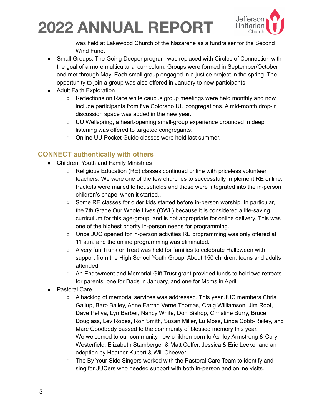

was held at Lakewood Church of the Nazarene as a fundraiser for the Second Wind Fund.

- Small Groups: The Going Deeper program was replaced with Circles of Connection with the goal of a more multicultural curriculum. Groups were formed in September/October and met through May. Each small group engaged in a justice project in the spring. The opportunity to join a group was also offered in January to new participants.
- Adult Faith Exploration
	- Reflections on Race white caucus group meetings were held monthly and now include participants from five Colorado UU congregations. A mid-month drop-in discussion space was added in the new year.
	- UU Wellspring, a heart-opening small-group experience grounded in deep listening was offered to targeted congregants.
	- Online UU Pocket Guide classes were held last summer.

#### **CONNECT authentically with others**

- Children, Youth and Family Ministries
	- Religious Education (RE) classes continued online with priceless volunteer teachers. We were one of the few churches to successfully implement RE online. Packets were mailed to households and those were integrated into the in-person children's chapel when it started..
	- Some RE classes for older kids started before in-person worship. In particular, the 7th Grade Our Whole Lives (OWL) because it is considered a life-saving curriculum for this age-group, and is not appropriate for online delivery. This was one of the highest priority in-person needs for programming.
	- Once JUC opened for in-person activities RE programming was only offered at 11 a.m. and the online programming was eliminated.
	- A very fun Trunk or Treat was held for families to celebrate Halloween with support from the High School Youth Group. About 150 children, teens and adults attended.
	- An Endowment and Memorial Gift Trust grant provided funds to hold two retreats for parents, one for Dads in January, and one for Moms in April
- **Pastoral Care** 
	- A backlog of memorial services was addressed. This year JUC members Chris Gallup, Barb Bailey, Anne Farrar, Verne Thomas, Craig Williamson, Jim Root, Dave Petiya, Lyn Barber, Nancy White, Don Bishop, Christine Burry, Bruce Douglass, Lev Ropes, Ron Smith, Susan Miller, Lu Moss, Linda Cobb-Reiley, and Marc Goodbody passed to the community of blessed memory this year.
	- We welcomed to our community new children born to Ashley Armstrong & Cory Westerfield, Elizabeth Stamberger & Matt Coffer, Jessica & Eric Leeker and an adoption by Heather Kubert & Will Cheever.
	- The By Your Side Singers worked with the Pastoral Care Team to identify and sing for JUCers who needed support with both in-person and online visits.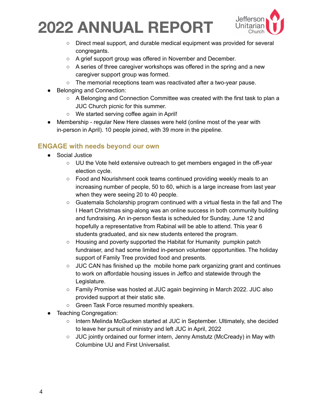

- Direct meal support, and durable medical equipment was provided for several congregants.
- A grief support group was offered in November and December.
- A series of three caregiver workshops was offered in the spring and a new caregiver support group was formed.
- The memorial receptions team was reactivated after a two-year pause.
- Belonging and Connection:
	- A Belonging and Connection Committee was created with the first task to plan a JUC Church picnic for this summer.
	- We started serving coffee again in April!
- Membership regular New Here classes were held (online most of the year with in-person in April). 10 people joined, with 39 more in the pipeline.

#### **ENGAGE with needs beyond our own**

- Social Justice
	- UU the Vote held extensive outreach to get members engaged in the off-year election cycle.
	- Food and Nourishment cook teams continued providing weekly meals to an increasing number of people, 50 to 60, which is a large increase from last year when they were seeing 20 to 40 people.
	- $\circ$  Guatemala Scholarship program continued with a virtual fiesta in the fall and The I Heart Christmas sing-along was an online success in both community building and fundraising. An in-person fiesta is scheduled for Sunday, June 12 and hopefully a representative from Rabinal will be able to attend. This year 6 students graduated, and six new students entered the program.
	- Housing and poverty supported the Habitat for Humanity pumpkin patch fundraiser, and had some limited in-person volunteer opportunities. The holiday support of Family Tree provided food and presents.
	- $\circ$  JUC CAN has finished up the mobile home park organizing grant and continues to work on affordable housing issues in Jeffco and statewide through the Legislature.
	- Family Promise was hosted at JUC again beginning in March 2022. JUC also provided support at their static site.
	- Green Task Force resumed monthly speakers.
- **Teaching Congregation:** 
	- Intern Melinda McGucken started at JUC in September. Ultimately, she decided to leave her pursuit of ministry and left JUC in April, 2022
	- JUC jointly ordained our former intern, Jenny Amstutz (McCready) in May with Columbine UU and First Universalist.